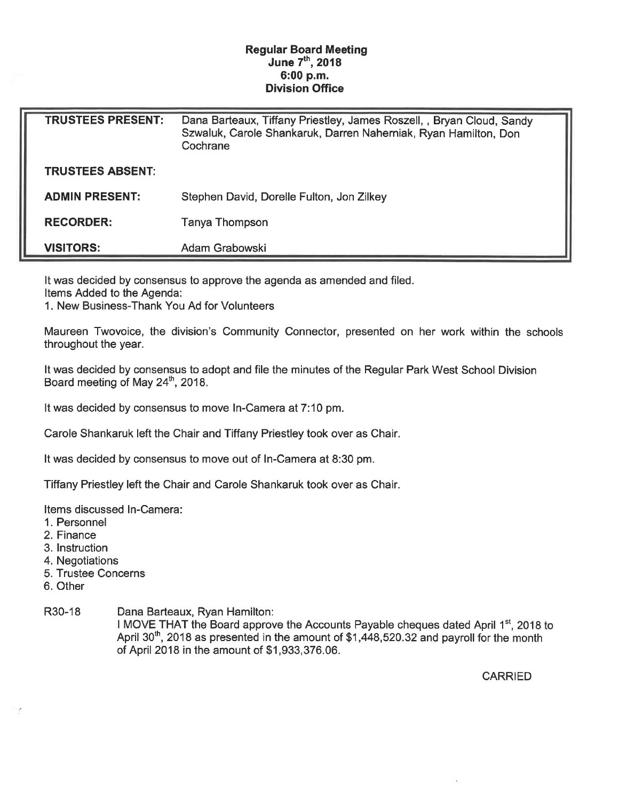## Regular Board Meeting June 7th, 2018 6:00 p.m. Division Office

| <b>TRUSTEES PRESENT:</b> | Dana Barteaux, Tiffany Priestley, James Roszell, , Bryan Cloud, Sandy<br>Szwaluk, Carole Shankaruk, Darren Naherniak, Ryan Hamilton, Don<br>Cochrane |
|--------------------------|------------------------------------------------------------------------------------------------------------------------------------------------------|
| <b>TRUSTEES ABSENT:</b>  |                                                                                                                                                      |
| <b>ADMIN PRESENT:</b>    | Stephen David, Dorelle Fulton, Jon Zilkey                                                                                                            |
| <b>RECORDER:</b>         | Tanya Thompson                                                                                                                                       |
| <b>VISITORS:</b>         | Adam Grabowski                                                                                                                                       |

It was decided by consensus to approve the agenda as amended and filed.

Items Added to the Agenda:

1. New Business-Thank You Ad for Volunteers

Maureen Twovoice, the division's Community Connector, presented on her work within the schools throughout the year.

It was decided by consensus to adopt and file the minutes of the Regular Park West School Division Board meeting of May 24<sup>th</sup>, 2018.

It was decided by consensus to move In-Camera at 7:10 pm.

Carole Shankaruk left the Chair and Tiffany Priestley took over as Chair.

It was decided by consensus to move out of In-Camera at 8:30 pm.

Tiffany Priestley left the Chair and Carole Shankaruk took over as Chair.

Items discussed In-Camera:

- 1. Personnel
- 2. Finance
- 3. Instruction
- 4. Negotiations
- 5. Trustee Concerns
- 6. Other

R30-18 Dana Barteaux, Ryan Hamilton:

I MOVE THAT the Board approve the Accounts Payable cheques dated April 1<sup>st</sup>, 2018 to April 30<sup>th</sup>, 2018 as presented in the amount of \$1,448,520.32 and payroll for the month of April 2018 in the amount of \$1, 933, 376. 06.

**CARRIED**